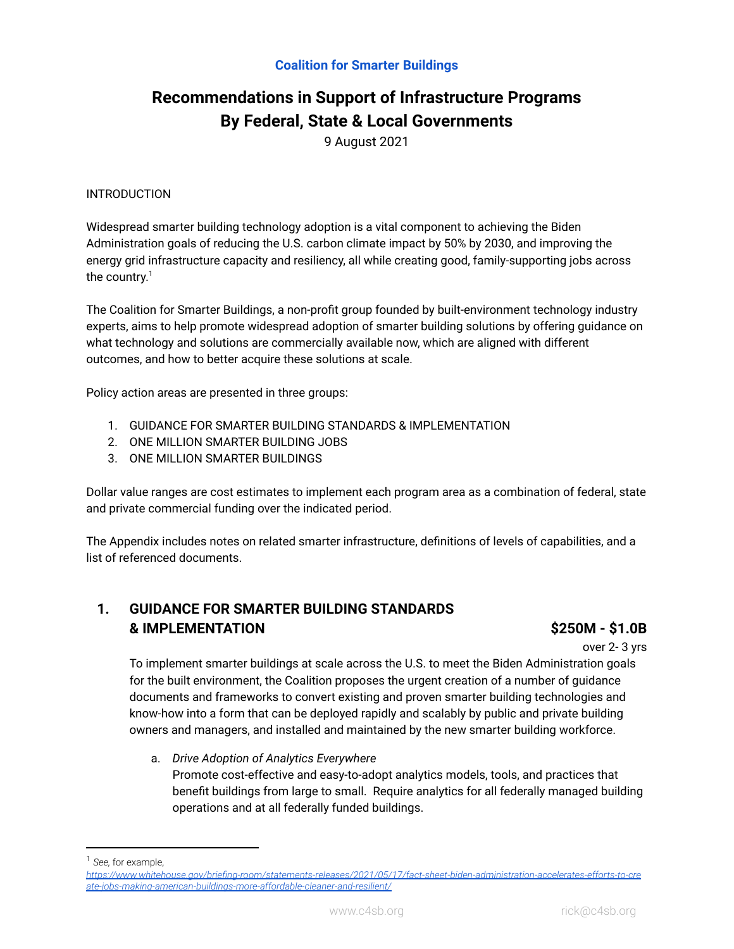# **Recommendations in Support of Infrastructure Programs By Federal, State & Local Governments**

9 August 2021

### INTRODUCTION

Widespread smarter building technology adoption is a vital component to achieving the Biden Administration goals of reducing the U.S. carbon climate impact by 50% by 2030, and improving the energy grid infrastructure capacity and resiliency, all while creating good, family-supporting jobs across the country. 1

The Coalition for Smarter Buildings, a non-profit group founded by built-environment technology industry experts, aims to help promote widespread adoption of smarter building solutions by offering guidance on what technology and solutions are commercially available now, which are aligned with different outcomes, and how to better acquire these solutions at scale.

Policy action areas are presented in three groups:

- 1. GUIDANCE FOR SMARTER BUILDING STANDARDS & IMPLEMENTATION
- 2. ONE MILLION SMARTER BUILDING JOBS
- 3. ONE MILLION SMARTER BUILDINGS

Dollar value ranges are cost estimates to implement each program area as a combination of federal, state and private commercial funding over the indicated period.

The Appendix includes notes on related smarter infrastructure, definitions of levels of capabilities, and a list of referenced documents.

# **1. GUIDANCE FOR SMARTER BUILDING STANDARDS & IMPLEMENTATION \$250M - \$1.0B**

over 2- 3 yrs

To implement smarter buildings at scale across the U.S. to meet the Biden Administration goals for the built environment, the Coalition proposes the urgent creation of a number of guidance documents and frameworks to convert existing and proven smarter building technologies and know-how into a form that can be deployed rapidly and scalably by public and private building owners and managers, and installed and maintained by the new smarter building workforce.

a. *Drive Adoption of Analytics Everywhere* Promote cost-effective and easy-to-adopt analytics models, tools, and practices that benefit buildings from large to small. Require analytics for all federally managed building operations and at all federally funded buildings.

<sup>1</sup> *See,* for example,

*[https://www.whitehouse.gov/briefing-room/statements-releases/2021/05/17/fact-sheet-biden-administration-accelerates-efforts-to-cre](https://www.whitehouse.gov/briefing-room/statements-releases/2021/05/17/fact-sheet-biden-administration-accelerates-efforts-to-create-jobs-making-american-buildings-more-affordable-cleaner-and-resilient/) [ate-jobs-making-american-buildings-more-affordable-cleaner-and-resilient/](https://www.whitehouse.gov/briefing-room/statements-releases/2021/05/17/fact-sheet-biden-administration-accelerates-efforts-to-create-jobs-making-american-buildings-more-affordable-cleaner-and-resilient/)*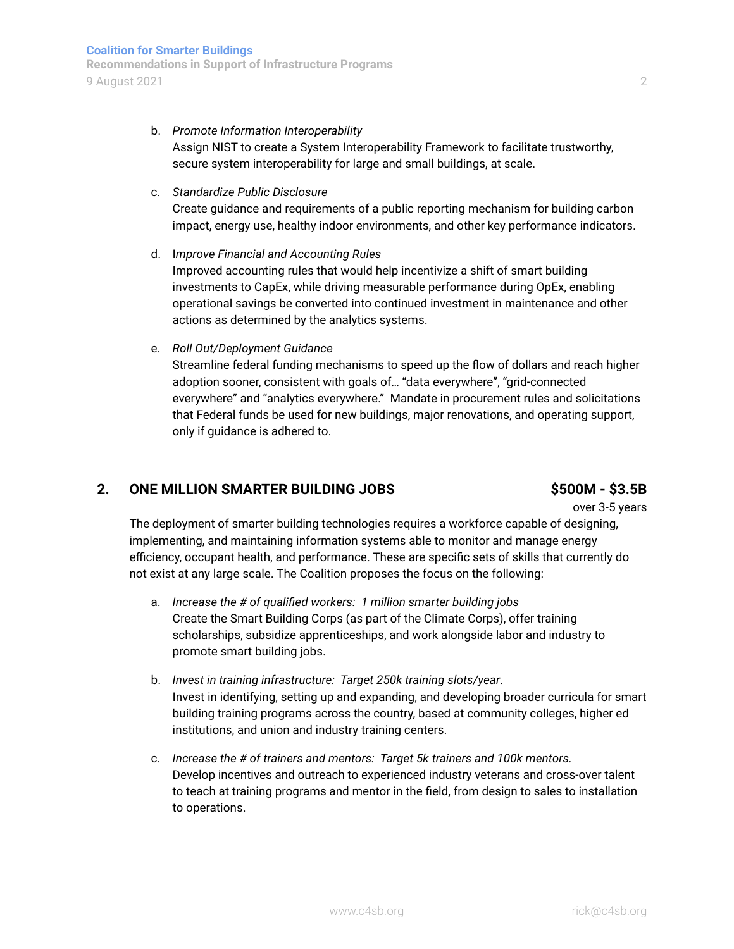b. *Promote Information Interoperability*

Assign NIST to create a System Interoperability Framework to facilitate trustworthy, secure system interoperability for large and small buildings, at scale.

### c. *Standardize Public Disclosure*

Create guidance and requirements of a public reporting mechanism for building carbon impact, energy use, healthy indoor environments, and other key performance indicators.

- d. I*mprove Financial and Accounting Rules* Improved accounting rules that would help incentivize a shift of smart building investments to CapEx, while driving measurable performance during OpEx, enabling operational savings be converted into continued investment in maintenance and other actions as determined by the analytics systems.
- e. *Roll Out/Deployment Guidance*

Streamline federal funding mechanisms to speed up the flow of dollars and reach higher adoption sooner, consistent with goals of… "data everywhere", "grid-connected everywhere" and "analytics everywhere." Mandate in procurement rules and solicitations that Federal funds be used for new buildings, major renovations, and operating support, only if guidance is adhered to.

# **2. ONE MILLION SMARTER BUILDING JOBS \$500M - \$3.5B**

over 3-5 years

The deployment of smarter building technologies requires a workforce capable of designing, implementing, and maintaining information systems able to monitor and manage energy efficiency, occupant health, and performance. These are specific sets of skills that currently do not exist at any large scale. The Coalition proposes the focus on the following:

- a. *Increase the # of qualified workers: 1 million smarter building jobs* Create the Smart Building Corps (as part of the Climate Corps), offer training scholarships, subsidize apprenticeships, and work alongside labor and industry to promote smart building jobs.
- b. *Invest in training infrastructure: Target 250k training slots/year*. Invest in identifying, setting up and expanding, and developing broader curricula for smart building training programs across the country, based at community colleges, higher ed institutions, and union and industry training centers.
- c. *Increase the # of trainers and mentors: Target 5k trainers and 100k mentors.* Develop incentives and outreach to experienced industry veterans and cross-over talent to teach at training programs and mentor in the field, from design to sales to installation to operations.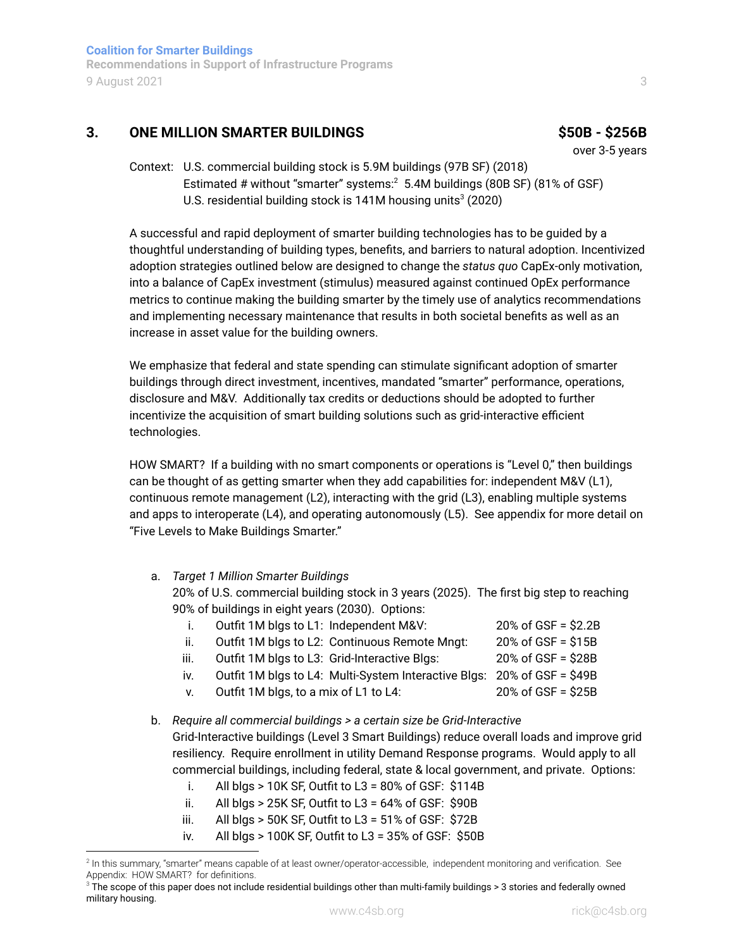**Recommendations in Support of Infrastructure Programs** 9 August 2021 3

# **3. ONE MILLION SMARTER BUILDINGS \$50B - \$256B**

over 3-5 years

Context: U.S. commercial building stock is 5.9M buildings (97B SF) (2018) Estimated # without "smarter" systems: <sup>2</sup> 5.4M buildings (80B SF) (81% of GSF) U.S. residential building stock is 141M housing units $3(2020)$ 

A successful and rapid deployment of smarter building technologies has to be guided by a thoughtful understanding of building types, benefits, and barriers to natural adoption. Incentivized adoption strategies outlined below are designed to change the *status quo* CapEx-only motivation, into a balance of CapEx investment (stimulus) measured against continued OpEx performance metrics to continue making the building smarter by the timely use of analytics recommendations and implementing necessary maintenance that results in both societal benefits as well as an increase in asset value for the building owners.

We emphasize that federal and state spending can stimulate significant adoption of smarter buildings through direct investment, incentives, mandated "smarter" performance, operations, disclosure and M&V. Additionally tax credits or deductions should be adopted to further incentivize the acquisition of smart building solutions such as grid-interactive efficient technologies.

HOW SMART? If a building with no smart components or operations is "Level 0," then buildings can be thought of as getting smarter when they add capabilities for: independent M&V (L1), continuous remote management (L2), interacting with the grid (L3), enabling multiple systems and apps to interoperate (L4), and operating autonomously (L5). See appendix for more detail on "Five Levels to Make Buildings Smarter."

# a. *Target 1 Million Smarter Buildings*

20% of U.S. commercial building stock in 3 years (2025). The first big step to reaching 90% of buildings in eight years (2030). Options:

| Ĺ.   | Outfit 1M blgs to L1: Independent M&V:                                  | $20\%$ of GSF = \$2.2B |
|------|-------------------------------------------------------------------------|------------------------|
| ii.  | Outfit 1M blgs to L2: Continuous Remote Mngt:                           | 20% of GSF = \$15B     |
| iii. | Outfit 1M blgs to L3: Grid-Interactive Blgs:                            | 20% of GSF = \$28B     |
| iv.  | Outfit 1M blgs to L4: Multi-System Interactive Blgs: 20% of GSF = \$49B |                        |
| V.   | Outfit 1M blgs, to a mix of L1 to L4:                                   | $20\%$ of GSF = \$25B  |

- b. *Require all commercial buildings > a certain size be Grid-Interactive* Grid-Interactive buildings (Level 3 Smart Buildings) reduce overall loads and improve grid resiliency. Require enrollment in utility Demand Response programs. Would apply to all commercial buildings, including federal, state & local government, and private. Options:
	- i. All blgs  $> 10K$  SF, Outfit to L3 = 80% of GSF: \$114B
	- ii. All blgs > 25K SF, Outfit to L3 =  $64\%$  of GSF:  $$90B$
	- iii. All blgs > 50K SF, Outfit to  $L3 = 51\%$  of GSF: \$72B
	- iv. All blgs > 100K SF, Outfit to L3 = 35% of GSF: \$50B

<sup>&</sup>lt;sup>2</sup> In this summary, "smarter" means capable of at least owner/operator-accessible, independent monitoring and verification. See Appendix: HOW SMART? for definitions.

 $3$  The scope of this paper does not include residential buildings other than multi-family buildings > 3 stories and federally owned military housing.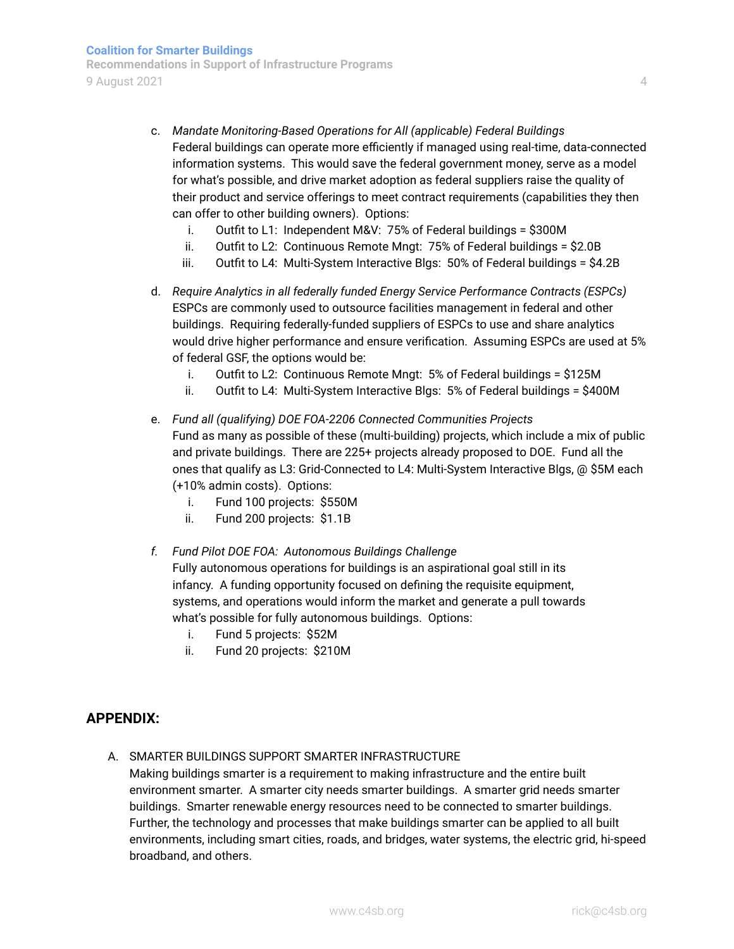- c. *Mandate Monitoring-Based Operations for All (applicable) Federal Buildings* Federal buildings can operate more efficiently if managed using real-time, data-connected information systems. This would save the federal government money, serve as a model for what's possible, and drive market adoption as federal suppliers raise the quality of their product and service offerings to meet contract requirements (capabilities they then can offer to other building owners). Options:
	- i. Outfit to L1: Independent M&V: 75% of Federal buildings = \$300M
	- ii. Outfit to L2: Continuous Remote Mngt: 75% of Federal buildings = \$2.0B
	- iii. Outfit to L4: Multi-System Interactive Blgs: 50% of Federal buildings = \$4.2B
- d. *Require Analytics in all federally funded Energy Service Performance Contracts (ESPCs)* ESPCs are commonly used to outsource facilities management in federal and other buildings. Requiring federally-funded suppliers of ESPCs to use and share analytics would drive higher performance and ensure verification. Assuming ESPCs are used at 5% of federal GSF, the options would be:
	- i. Outfit to L2: Continuous Remote Mngt: 5% of Federal buildings = \$125M
	- ii. Outfit to L4: Multi-System Interactive Blgs: 5% of Federal buildings = \$400M
- e. *Fund all (qualifying) DOE FOA-2206 Connected Communities Projects* Fund as many as possible of these (multi-building) projects, which include a mix of public and private buildings. There are 225+ projects already proposed to DOE. Fund all the ones that qualify as L3: Grid-Connected to L4: Multi-System Interactive Blgs, @ \$5M each (+10% admin costs). Options:
	- i. Fund 100 projects: \$550M
	- ii. Fund 200 projects: \$1.1B
- *f. Fund Pilot DOE FOA: Autonomous Buildings Challenge* Fully autonomous operations for buildings is an aspirational goal still in its infancy. A funding opportunity focused on defining the requisite equipment, systems, and operations would inform the market and generate a pull towards what's possible for fully autonomous buildings. Options:
	- i. Fund 5 projects: \$52M
	- ii. Fund 20 projects: \$210M

### **APPENDIX:**

A. SMARTER BUILDINGS SUPPORT SMARTER INFRASTRUCTURE

Making buildings smarter is a requirement to making infrastructure and the entire built environment smarter. A smarter city needs smarter buildings. A smarter grid needs smarter buildings. Smarter renewable energy resources need to be connected to smarter buildings. Further, the technology and processes that make buildings smarter can be applied to all built environments, including smart cities, roads, and bridges, water systems, the electric grid, hi-speed broadband, and others.